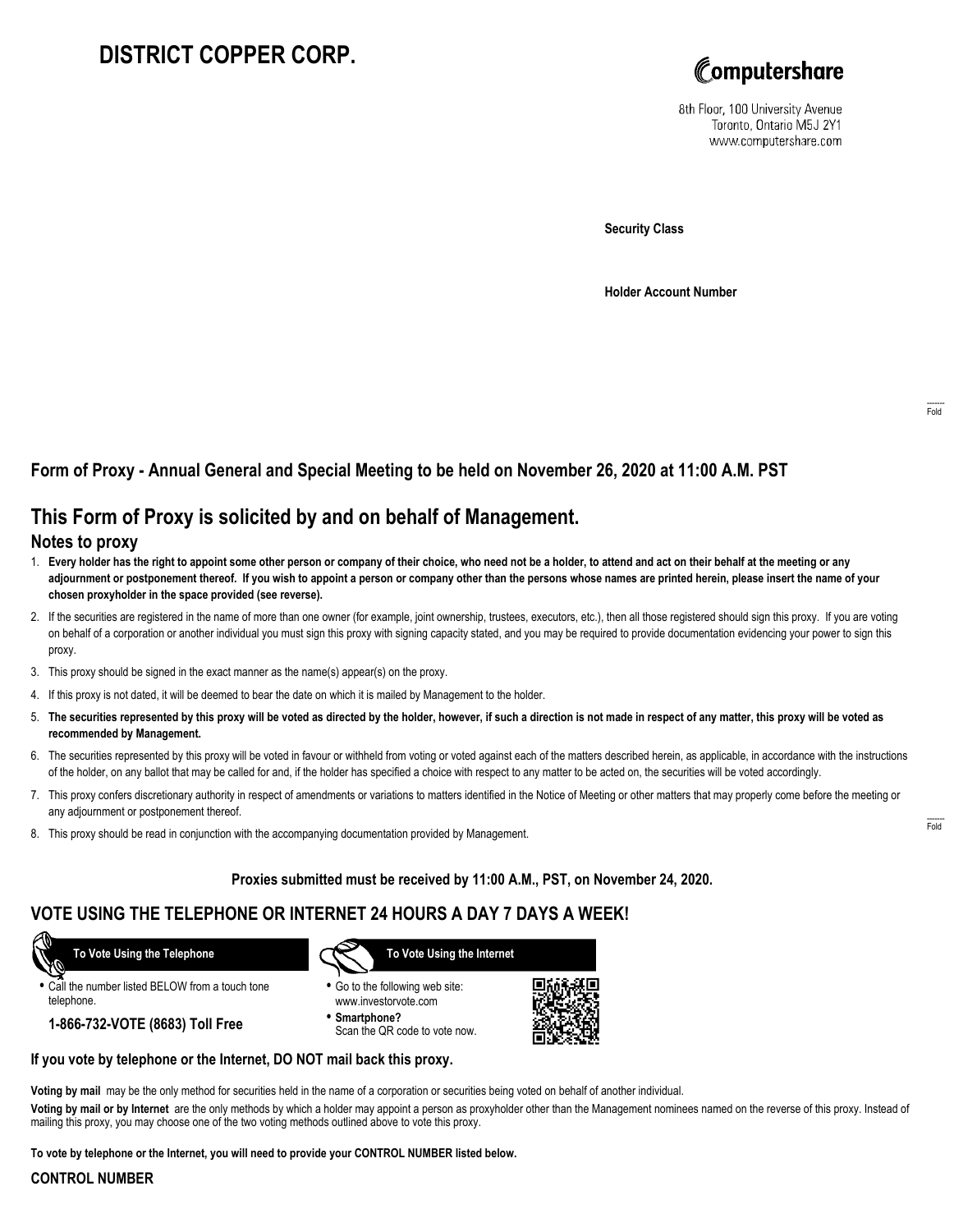# **DISTRICT COPPER CORP.**



8th Floor, 100 University Avenue Toronto, Ontario M5J 2Y1 www.computershare.com

**Security Class**

**Holder Account Number**

## **Form of Proxy - Annual General and Special Meeting to be held on November 26, 2020 at 11:00 A.M. PST**

# **This Form of Proxy is solicited by and on behalf of Management.**

#### **Notes to proxy**

- 1. **Every holder has the right to appoint some other person or company of their choice, who need not be a holder, to attend and act on their behalf at the meeting or any adjournment or postponement thereof. If you wish to appoint a person or company other than the persons whose names are printed herein, please insert the name of your chosen proxyholder in the space provided (see reverse).**
- 2. If the securities are registered in the name of more than one owner (for example, joint ownership, trustees, executors, etc.), then all those registered should sign this proxy. If you are voting on behalf of a corporation or another individual you must sign this proxy with signing capacity stated, and you may be required to provide documentation evidencing your power to sign this proxy.
- 3. This proxy should be signed in the exact manner as the name(s) appear(s) on the proxy.
- 4. If this proxy is not dated, it will be deemed to bear the date on which it is mailed by Management to the holder.
- 5. **The securities represented by this proxy will be voted as directed by the holder, however, if such a direction is not made in respect of any matter, this proxy will be voted as recommended by Management.**
- 6. The securities represented by this proxy will be voted in favour or withheld from voting or voted against each of the matters described herein, as applicable, in accordance with the instructions of the holder, on any ballot that may be called for and, if the holder has specified a choice with respect to any matter to be acted on, the securities will be voted accordingly.
- 7. This proxy confers discretionary authority in respect of amendments or variations to matters identified in the Notice of Meeting or other matters that may properly come before the meeting or any adjournment or postponement thereof.
- 8. This proxy should be read in conjunction with the accompanying documentation provided by Management.

#### **Proxies submitted must be received by 11:00 A.M., PST, on November 24, 2020.**

### **VOTE USING THE TELEPHONE OR INTERNET 24 HOURS A DAY 7 DAYS A WEEK!**

 **To Vote Using the Telephone**

**•** Call the number listed BELOW from a touch tone telephone.

**1-866-732-VOTE (8683) Toll Free**



- **•** Go to the following web site: www.investorvote.com
- **• Smartphone?** Scan the QR code to vote now.



#### **If you vote by telephone or the Internet, DO NOT mail back this proxy.**

**Voting by mail** may be the only method for securities held in the name of a corporation or securities being voted on behalf of another individual.

**Voting by mail or by Internet** are the only methods by which a holder may appoint a person as proxyholder other than the Management nominees named on the reverse of this proxy. Instead of mailing this proxy, you may choose one of the two voting methods outlined above to vote this proxy.

**To vote by telephone or the Internet, you will need to provide your CONTROL NUMBER listed below.**

#### **CONTROL NUMBER**